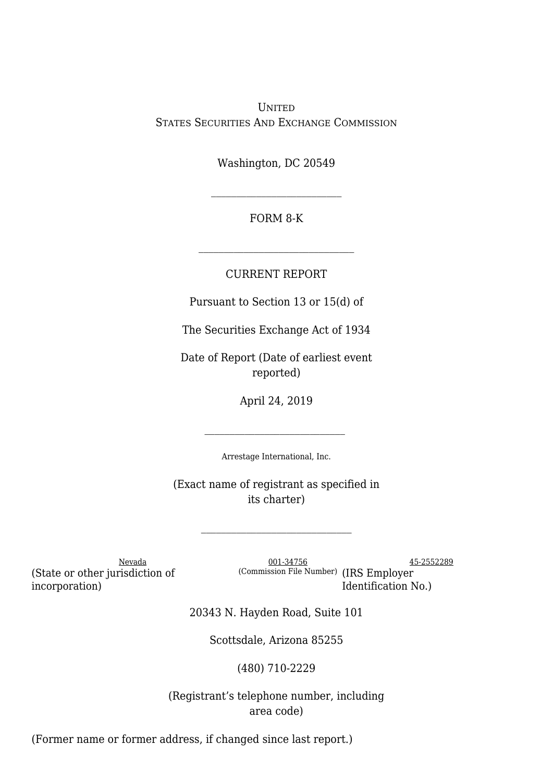UNITED STATES SECURITIES AND EXCHANGE COMMISSION

Washington, DC 20549

## FORM 8-K

 $\mathcal{L}_\text{max}$ 

## CURRENT REPORT

Pursuant to Section 13 or 15(d) of

The Securities Exchange Act of 1934

Date of Report (Date of earliest event reported)

April 24, 2019

Arrestage International, Inc.

(Exact name of registrant as specified in its charter)

(State or other jurisdiction of incorporation)

Nevada 25-2552289 (Commission File Number) (IRS Employer Identification No.)

20343 N. Hayden Road, Suite 101

Scottsdale, Arizona 85255

(480) 710-2229

(Registrant's telephone number, including area code)

(Former name or former address, if changed since last report.)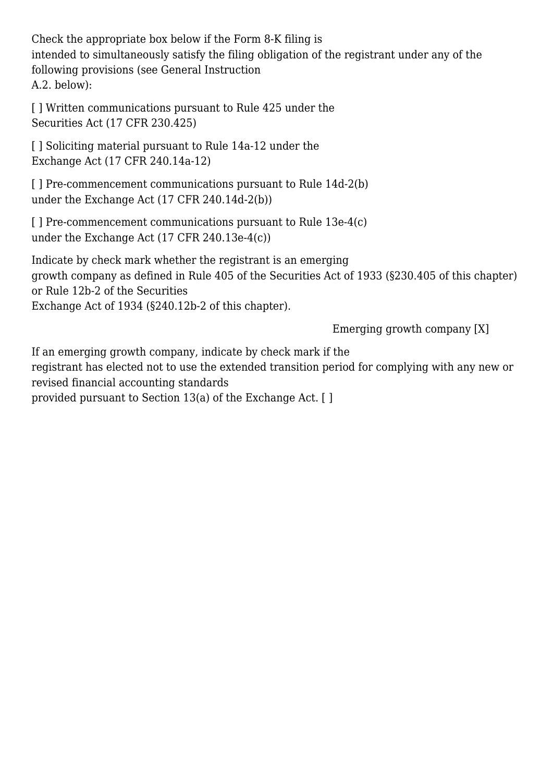Check the appropriate box below if the Form 8-K filing is intended to simultaneously satisfy the filing obligation of the registrant under any of the following provisions (see General Instruction A.2. below):

[] Written communications pursuant to Rule 425 under the Securities Act (17 CFR 230.425)

[] Soliciting material pursuant to Rule 14a-12 under the Exchange Act (17 CFR 240.14a-12)

[ ] Pre-commencement communications pursuant to Rule 14d-2(b) under the Exchange Act (17 CFR 240.14d-2(b))

[ ] Pre-commencement communications pursuant to Rule 13e-4(c) under the Exchange Act (17 CFR 240.13e-4(c))

Indicate by check mark whether the registrant is an emerging growth company as defined in Rule 405 of the Securities Act of 1933 (§230.405 of this chapter) or Rule 12b-2 of the Securities Exchange Act of 1934 (§240.12b-2 of this chapter).

Emerging growth company [X]

If an emerging growth company, indicate by check mark if the registrant has elected not to use the extended transition period for complying with any new or revised financial accounting standards provided pursuant to Section 13(a) of the Exchange Act. [ ]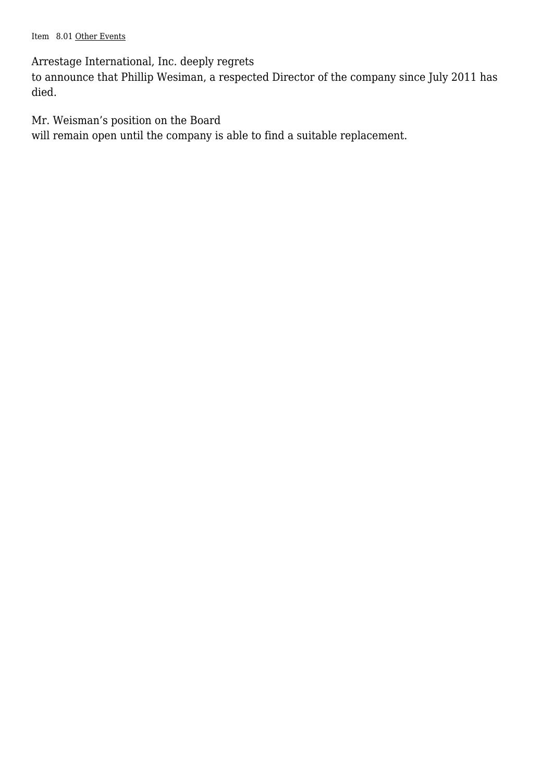Item 8.01 Other Events

Arrestage International, Inc. deeply regrets

to announce that Phillip Wesiman, a respected Director of the company since July 2011 has died.

Mr. Weisman's position on the Board

will remain open until the company is able to find a suitable replacement.